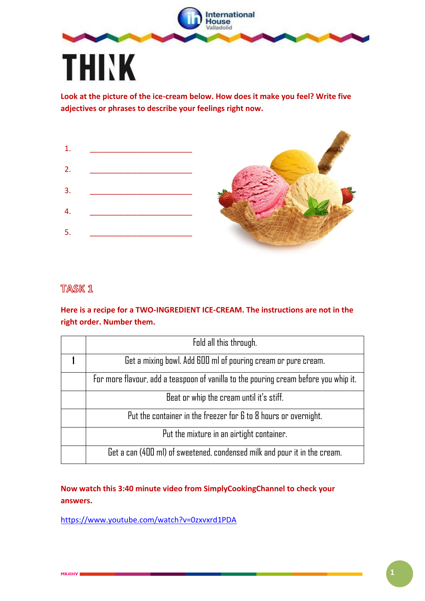

**Look at the picture of the ice-cream below. How does it make you feel? Write five adjectives or phrases to describe your feelings right now.**

| $\mathbf{1}$ . |  |
|----------------|--|
| 2.             |  |
| 3.             |  |
| 4.             |  |
| 5.             |  |

## **TASK 1**

## **Here is a recipe for a TWO-INGREDIENT ICE-CREAM. The instructions are not in the right order. Number them.**

| Fold all this through.                                                               |  |  |
|--------------------------------------------------------------------------------------|--|--|
| Get a mixing bowl. Add 600 ml of pouring cream or pure cream.                        |  |  |
| For more flavour, add a teaspoon of vanilla to the pouring cream before you whip it. |  |  |
| Beat or whip the cream until it's stiff.                                             |  |  |
| Put the container in the freezer for 6 to 8 hours or overnight.                      |  |  |
| Put the mixture in an airtight container.                                            |  |  |
| Get a can (400 ml) of sweetened, condensed milk and pour it in the cream.            |  |  |

## **Now watch this 3:40 minute video from SimplyCookingChannel to check your answers.**

<https://www.youtube.com/watch?v=0zxvxrd1PDA>

allows: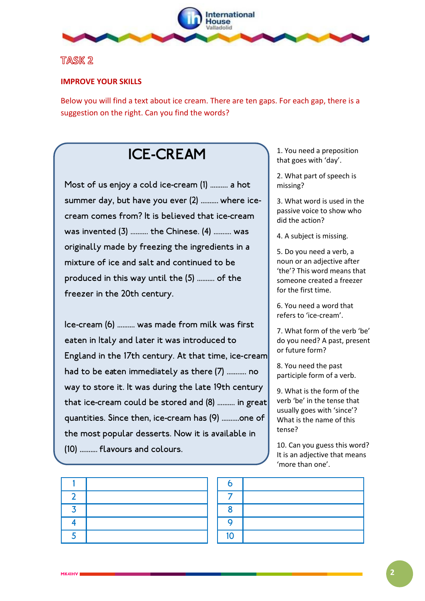

## TASK<sub>2</sub>

### **IMPROVE YOUR SKILLS**

Below you will find a text about ice cream. There are ten gaps. For each gap, there is a suggestion on the right. Can you find the words?

# **ICE-CREAM**

Most of us enjoy a cold ice-cream (1) .......... a hot summer day, but have you ever (2) .......... where icecream comes from? It is believed that ice-cream was invented (3) .......... the Chinese. (4) .......... was originally made by freezing the ingredients in a mixture of ice and salt and continued to be produced in this way until the (5) .......... of the freezer in the 20th century.

Ice-cream (6) .......... was made from milk was first eaten in Italy and later it was introduced to England in the 17th century. At that time, ice-cream had to be eaten immediately as there (7) ........... no way to store it. It was during the late 19th century that ice-cream could be stored and (8) .......... in great quantities. Since then, ice-cream has (9) ..........one of the most popular desserts. Now it is available in (10) .......... flavours and colours.

| 6  |  |
|----|--|
|    |  |
| 8  |  |
| ٥  |  |
| 10 |  |

1. You need a preposition that goes with 'day'.

2. What part of speech is missing?

3. What word is used in the passive voice to show who did the action?

4. A subject is missing.

5. Do you need a verb, a noun or an adjective after 'the'? This word means that someone created a freezer for the first time.

6. You need a word that refers to 'ice-cream'.

7. What form of the verb 'be' do you need? A past, present or future form?

8. You need the past participle form of a verb.

9. What is the form of the verb 'be' in the tense that usually goes with 'since'? What is the name of this tense?

10. Can you guess this word? It is an adjective that means 'more than one'.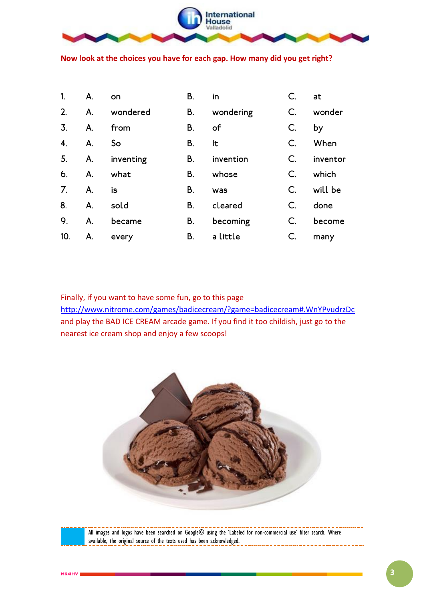

**Now look at the choices you have for each gap. How many did you get right?**

| 1.               | А. | on        | В. | in        | $C$ .         | at       |
|------------------|----|-----------|----|-----------|---------------|----------|
| 2.               | A. | wondered  | В. | wondering | $C$ .         | wonder   |
| $\overline{3}$ . | А. | from      | В. | of        | $C$ .         | by       |
| 4.               | A. | So        | В. | lt        | $C_{\cdot}$   | When     |
| 5.               | A. | inventing | В. | invention | C.            | inventor |
| 6.               | Α. | what      | В. | whose     | $\mathsf{C}.$ | which    |
| 7 <sub>1</sub>   | A. | is        | В. | was       | C.            | will be  |
| 8.               | А. | sold      | В. | cleared   | $C_{\cdot}$   | done     |
| 9.               | А. | became    | В. | becoming  | C.            | become   |
| 10.              | A. | every     | В. | a little  | C.            | many     |

Finally, if you want to have some fun, go to this page

<http://www.nitrome.com/games/badicecream/?game=badicecream#.WnYPvudrzDc> and play the BAD ICE CREAM arcade game. If you find it too childish, just go to the nearest ice cream shop and enjoy a few scoops!



All images and logos have been searched on Google© using the 'Labeled for non-commercial use' filter search. Where available, the original source of the texts used has been acknowledged.